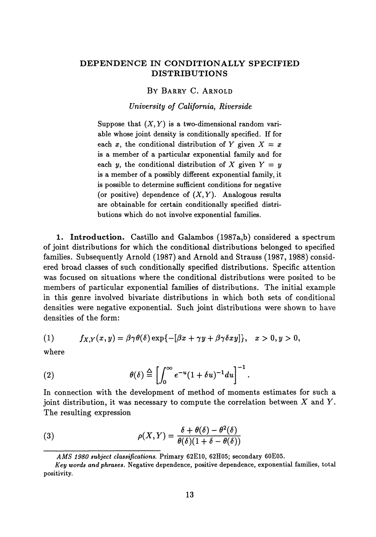## **DEPENDENCE IN CONDITIONALLY SPECIFIED DISTRIBUTIONS**

## BY BARRY C. ARNOLD

*University of California, Riverside*

Suppose that  $(X, Y)$  is a two-dimensional random variable whose joint density is conditionally specified. If for each x, the conditional distribution of Y given  $X = x$ is a member of a particular exponential family and for each y, the conditional distribution of X given  $Y = y$ is a member of a possibly different exponential family, it is possible to determine sufficient conditions for negative (or positive) dependence of *(X, Y).* Analogous results are obtainable for certain conditionally specified distri butions which do not involve exponential families.

**1. Introduction.** Castillo and Galambos (1987a,b) considered a spectrum of joint distributions for which the conditional distributions belonged to specified families. Subsequently Arnold (1987) and Arnold and Strauss (1987, 1988) consid ered broad classes of such conditionally specified distributions. Specific attention was focused on situations where the conditional distributions were posited to be members of particular exponential families of distributions. The initial example in this genre involved bivariate distributions in which both sets of conditional densities were negative exponential. Such joint distributions were shown to have densities of the form:

(1) 
$$
f_{X,Y}(x,y) = \beta \gamma \theta(\delta) \exp\{-[\beta x + \gamma y + \beta \gamma \delta x y]\}, \quad x > 0, y > 0,
$$

where

(2) 
$$
\theta(\delta) \stackrel{\Delta}{=} \left[ \int_0^\infty e^{-u} (1 + \delta u)^{-1} du \right]^{-1}.
$$

In connection with the development of method of moments estimates for such a joint distribution, it was necessary to compute the correlation between *X* and Y. The resulting expression

(3) 
$$
\rho(X,Y) = \frac{\delta + \theta(\delta) - \theta^2(\delta)}{\theta(\delta)(1 + \delta - \theta(\delta))}
$$

*AMS 1980 subject classifications.* Primary 62E10, 62H05; secondary 60E05.

*Key words and phrases.* Negative dependence, positive dependence, exponential families, total positivity.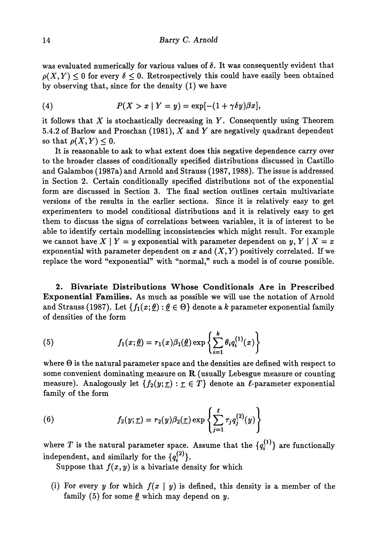was evaluated numerically for various values of  $\delta$ . It was consequently evident that  $\rho(X, Y) \leq 0$  for every  $\delta \leq 0$ . Retrospectively this could have easily been obtained by observing that, since for the density (1) we have

(4) 
$$
P(X > x | Y = y) = \exp[-(1 + \gamma \delta y)\beta x],
$$

it follows that *X* is stochastically decreasing in *Y.* Consequently using Theorem 5.4.2 of Barlow and Proschan (1981), *X* and *Y* are negatively quadrant dependent so that  $\rho(X,Y) \leq 0$ .

It is reasonable to ask to what extent does this negative dependence carry over to the broader classes of conditionally specified distributions discussed in Castillo and Galambos (1987a) and Arnold and Strauss (1987,1988). The issue is addressed in Section 2. Certain conditionally specified distributions not of the exponential form are discussed in Section 3. The final section outlines certain multivariate versions of the results in the earlier sections. Since it is relatively easy to get experimenters to model conditional distributions and it is relatively easy to get them to discuss the signs of correlations between variables, it is of interest to be able to identify certain modelling inconsistencies which might result. For example we cannot have  $X \mid Y=y$  exponential with parameter dependent on  $y, Y \mid X=x$ exponential with parameter dependent on  $x$  and  $(X, Y)$  positively correlated. If we replace the word "exponential" with "normal," such a model is of course possible.

**2 Bivariate Distributions Whose Conditionals Are in Prescribed Exponential Families.** As much as possible we will use the notation of Arnold and Strauss (1987). Let  $\{f_1(x;\underline{\theta}) : \underline{\theta} \in \Theta\}$  denote a k parameter exponential family of densities of the form

(5) 
$$
f_1(x; \underline{\theta}) = r_1(x)\beta_1(\underline{\theta}) \exp\left\{\sum_{i=1}^k \theta_i q_i^{(1)}(x)\right\}
$$

where Θ is the natural parameter space and the densities are defined with respect to some convenient dominating measure on  $R$  (usually Lebesgue measure or counting measure). Analogously let  $\{f_2(y; \tau) : \tau \in T\}$  denote an  $\ell$ -parameter exponential family of the form

(6) 
$$
f_2(y; \underline{\tau}) = r_2(y)\beta_2(\underline{\tau}) \exp\left\{\sum_{j=1}^{\ell} \tau_j q_j^{(2)}(y)\right\}
$$

where *T* is the natural parameter space. Assume that the  ${q_i^{(1)}}$  are functionally independent, and similarly for the  $\{q_i^{(2)}\}.$ 

Suppose that  $f(x, y)$  is a bivariate density for which

(i) For every *y* for which  $f(x | y)$  is defined, this density is a member of the family (5) for some  $\theta$  which may depend on y.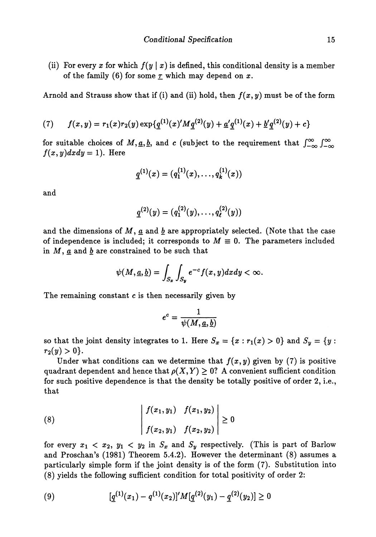(ii) For every x for which  $f(y \mid x)$  is defined, this conditional density is a member of the family (6) for some  $\underline{\tau}$  which may depend on  $x$ .

Arnold and Strauss show that if (i) and (ii) hold, then *f(x, y)* must be of the form

(7) 
$$
f(x,y) = r_1(x)r_2(y) \exp{\{\underline{q}^{(1)}(x)'M\underline{q}^{(2)}(y) + \underline{a'}\underline{q}^{(1)}(x) + \underline{b'}\underline{q}^{(2)}(y) + c\}}
$$

for suitable choices of  $M, \underline{a}, \underline{b}$ , and *c* (subject to the requirement that  $\int_{-\infty}^{\infty} \int_{-\infty}^{\infty}$  $f(x,y)dxdy=1$ ). Here

$$
\underline{q}^{(1)}(x)=(q_1^{(1)}(x),\ldots,q_k^{(1)}(x))
$$

and

$$
\underline{q}^{(2)}(y)=(q_1^{(2)}(y),\ldots,q_\ell^{(2)}(y))
$$

and the dimensions of  $M$ ,  $\underline{a}$  and  $\underline{b}$  are appropriately selected. (Note that the case of independence is included; it corresponds to  $M \equiv 0$ . The parameters included in  $M$ ,  $\underline{a}$  and  $\underline{b}$  are constrained to be such that

$$
\psi(M, \underline{a}, \underline{b}) = \int_{S_x} \int_{S_y} e^{-c} f(x, y) dx dy < \infty.
$$

The remaining constant  $c$  is then necessarily given by

$$
e^c=\frac{1}{\psi(M,\underline{a},\underline{b})}
$$

so that the joint density integrates to 1. Here  $S_x = \{x : r_1(x) > 0\}$  and  $S_y = \{y :$  $r_2(y) > 0$ .

Under what conditions can we determine that  $f(x, y)$  given by (7) is positive quadrant dependent and hence that  $\rho(X,Y) \geq 0$ ? A convenient sufficient condition for such positive dependence is that the density be totally positive of order 2, i.e., that

(8) 
$$
\begin{vmatrix} f(x_1, y_1) & f(x_1, y_2) \ f(x_2, y_1) & f(x_2, y_2) \end{vmatrix} \geq 0
$$

for every  $x_1 < x_2$ ,  $y_1 < y_2$  in  $S_x$  and  $S_y$  respectively. (This is part of Barlow and Proschan's (1981) Theorem 5.4.2). However the determinant (8) assumes a particularly simple form if the joint density is of the form (7). Substitution into (8) yields the following sufficient condition for total positivity of order 2:

(9) 
$$
[q^{(1)}(x_1) - q^{(1)}(x_2)]'M[q^{(2)}(y_1) - q^{(2)}(y_2)] \geq 0
$$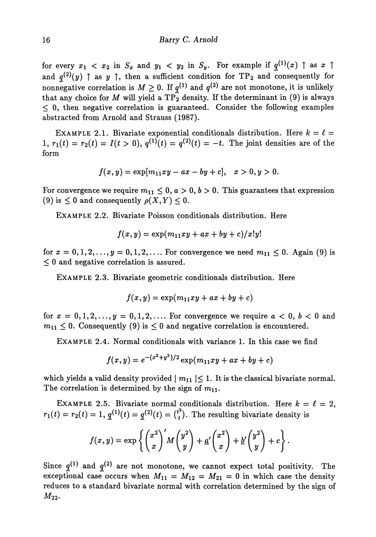for every  $x_1 < x_2$  in  $S_x$  and  $y_1 < y_2$  in  $S_y$ . For example if  $q^{(1)}(x) \uparrow$  as  $x \uparrow$ and  $q^{(2)}(y)$   $\uparrow$  as  $y$   $\uparrow$ , then a sufficient condition for  $\text{TP}_2$  and consequently for nonnegative correlation is  $M \geq 0$ . If  $q^{(1)}$  and  $q^{(2)}$  are not monotone, it is unlikely that any choice for  $M$  will yield a  $\text{TP}_2^-$  density. If the determinant in (9) is always  $\leq$  0, then negative correlation is guaranteed. Consider the following examples abstracted from Arnold and Strauss (1987).

EXAMPLE 2.1. Bivariate exponential conditionals distribution. Here  $k = \ell =$  $1, r_1(t) = r_2(t) = I(t > 0), q^{(1)}(t) = q^{(2)}(t) = -t.$  The joint densities are of the form

$$
f(x,y) = \exp[m_{11}xy - ax - by + c], \quad x > 0, y > 0.
$$

For convergence we require  $m_{11} \leq 0$ ,  $a > 0$ ,  $b > 0$ . This guarantees that expression (9) is  $\leq 0$  and consequently  $\rho(X, Y) \leq 0$ .

EXAMPLE 2.2. Bivariate Poisson conditionals distribution. Here

$$
f(x,y)=\exp(m_{11}xy+ax+by+c)/x!y!
$$

for  $x = 0, 1, 2, ..., y = 0, 1, 2, ...$  For convergence we need  $m_{11} \le 0$ . Again (9) is  $\leq 0$  and negative correlation is assured.

EXAMPLE 2.3. Bivariate geometric conditionals distribution. Here

$$
f(x,y) = \exp(m_{11}xy + ax + by + c)
$$

for  $x = 0, 1, 2, ..., y = 0, 1, 2, ...$  For convergence we require  $a < 0, b < 0$  and  $m_{11} \leq 0$ . Consequently (9) is  $\leq 0$  and negative correlation is encountered.

EXAMPLE 2.4. Normal conditionals with variance 1. In this case we find

$$
f(x,y) = e^{-(x^2+y^2)/2} \exp(m_{11}xy + ax + by + c)
$$

which yields a valid density provided  $|m_{11}| \leq 1$ . It is the classical bivariate normal. The correlation is determined by the sign of  $m_{11}$ .

EXAMPLE 2.5. Bivariate normal conditionals distribution. Here  $k = \ell = 2$ ,  $r_1(t) = r_2(t) = 1, \, \underline{q}^{(1)}(t) = \underline{q}^{(2)}(t) = {t^2 \choose t}.$  The resulting bivariate density is

$$
f(x,y) = \exp\left\{ \binom{x^2}{x}^{\prime} M \binom{y^2}{y} + \underline{a}^{\prime} \binom{x^2}{x} + \underline{b}^{\prime} \binom{y^2}{y} + c \right\}.
$$

Since  $q^{(1)}$  and  $q^{(2)}$  are not monotone, we cannot expect total positivity. The exceptional case occurs when  $M_{11} = M_{12} = M_{21} = 0$  in which case the density reduces to a standard bivariate normal with correlation determined by the sign of  $M_{22}$ .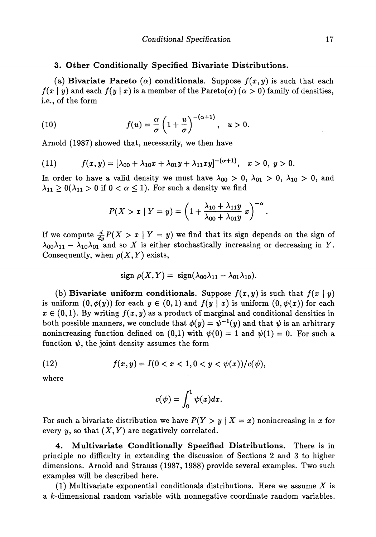## **3. Other Conditionally Specified Bivariate Distributions.**

(a) **Bivariate Pareto** ( $\alpha$ ) **conditionals.** Suppose  $f(x, y)$  is such that each  $f(x \mid y)$  and each  $f(y \mid x)$  is a member of the Pareto( $\alpha$ ) ( $\alpha > 0$ ) family of densities, i.e., of the form

(10) 
$$
f(u) = \frac{\alpha}{\sigma} \left( 1 + \frac{u}{\sigma} \right)^{-(\alpha+1)}, \quad u > 0.
$$

Arnold (1987) showed that, necessarily, we then have

(11) 
$$
f(x,y) = [\lambda_{00} + \lambda_{10}x + \lambda_{01}y + \lambda_{11}xy]^{-(\alpha+1)}, \quad x > 0, y > 0.
$$

In order to have a valid density we must have  $\lambda_{00} > 0$ ,  $\lambda_{01} > 0$ ,  $\lambda_{10} > 0$ , and  $\lambda_{11} \geq 0$ ( $\lambda_{11} > 0$  if  $0 < \alpha \leq 1$ ). For such a density we find

$$
P(X > x \mid Y = y) = \left(1 + \frac{\lambda_{10} + \lambda_{11}y}{\lambda_{00} + \lambda_{01}y}x\right)^{-\alpha}
$$

If we compute  $\frac{d}{dx}P(X > x | Y = y)$  we find that its sign depends on the sign of  $\lambda_{00}\lambda_{11} - \lambda_{10}\lambda_{01}$  and so X is either stochastically increasing or decreasing in Y. Consequently, when  $\rho(X, Y)$  exists,

$$
\operatorname{sign} \, \rho(X,Y) = \, \operatorname{sign}(\lambda_{00}\lambda_{11} - \lambda_{01}\lambda_{10}).
$$

(b) **Bivariate uniform conditionals.** Suppose  $f(x, y)$  is such that  $f(x | y)$ is uniform  $(0, \phi(y))$  for each  $y \in (0,1)$  and  $f(y | x)$  is uniform  $(0, \psi(x))$  for each  $x \in (0,1)$ . By writing  $f(x, y)$  as a product of marginal and conditional densities in both possible manners, we conclude that  $\phi(y) = \psi^{-1}(y)$  and that  $\psi$  is an arbitrary nonincreasing function defined on (0,1) with  $\psi(0) = 1$  and  $\psi(1) = 0$ . For such a function  $\psi$ , the joint density assumes the form

(12) 
$$
f(x,y) = I(0 < x < 1, 0 < y < \psi(x))/c(\psi),
$$

where

$$
c(\psi)=\int_0^1\psi(x)dx.
$$

For such a bivariate distribution we have  $P(Y > y | X = x)$  nonincreasing in x for every y, so that  $(X, Y)$  are negatively correlated.

**4. Multivariate Conditionally Specified Distributions.** There is in principle no difficulty in extending the discussion of Sections 2 and 3 to higher dimensions. Arnold and Strauss (1987, 1988) provide several examples. Two such examples will be described here.

(1) Multivariate exponential conditionals distributions. Here we assume *X* is a k-dimensional random variable with nonnegative coordinate random variables.